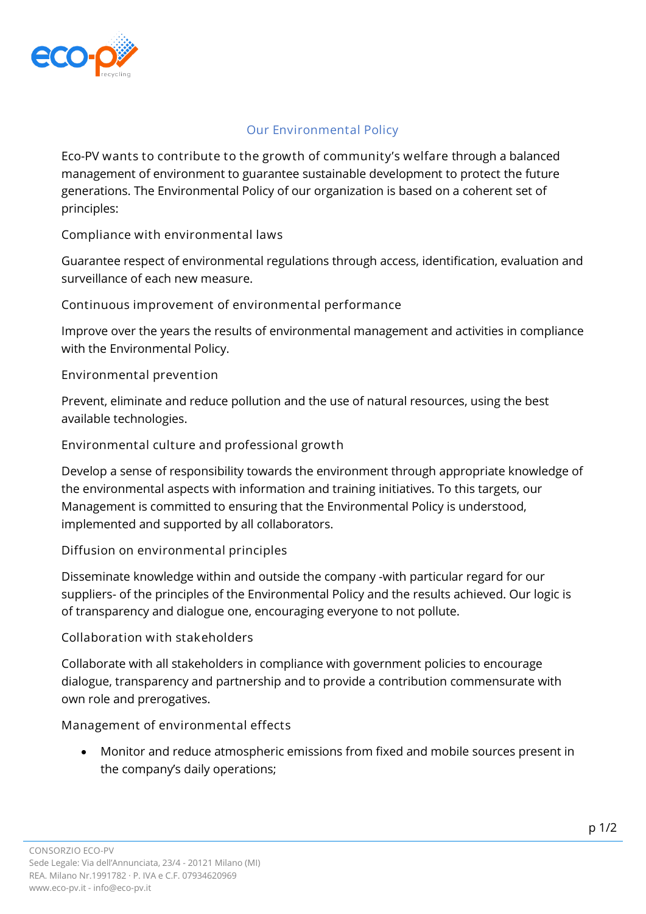

## **Our Environmental Policy**

Eco-PV **wants to contribute to the growth of community's welfare** through a balanced management of environment to guarantee sustainable development to protect the future generations. The Environmental Policy of our organization is based on a coherent set of principles:

**Compliance with environmental laws**

Guarantee respect of environmental regulations through access, identification, evaluation and surveillance of each new measure.

**Continuous improvement of environmental performance**

Improve over the years the results of environmental management and activities in compliance with the Environmental Policy.

**Environmental prevention**

Prevent, eliminate and reduce pollution and the use of natural resources, using the best available technologies.

**Environmental culture and professional growth**

Develop a sense of responsibility towards the environment through appropriate knowledge of the environmental aspects with information and training initiatives. To this targets, our Management is committed to ensuring that the Environmental Policy is understood, implemented and supported by all collaborators.

**Diffusion on environmental principles**

Disseminate knowledge within and outside the company -with particular regard for our suppliers- of the principles of the Environmental Policy and the results achieved. Our logic is of transparency and dialogue one, encouraging everyone to not pollute.

**Collaboration with stakeholders**

Collaborate with all stakeholders in compliance with government policies to encourage dialogue, transparency and partnership and to provide a contribution commensurate with own role and prerogatives.

**Management of environmental effects**

• Monitor and reduce atmospheric emissions from fixed and mobile sources present in the company's daily operations;